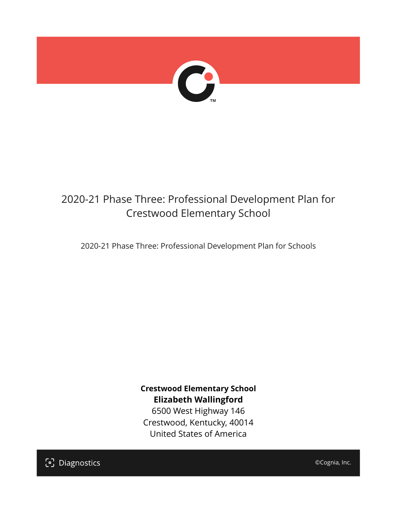

## 2020-21 Phase Three: Professional Development Plan for Crestwood Elementary School

2020-21 Phase Three: Professional Development Plan for Schools

**Crestwood Elementary School Elizabeth Wallingford**

6500 West Highway 146 Crestwood, Kentucky, 40014 United States of America

[၁] Diagnostics

©Cognia, Inc.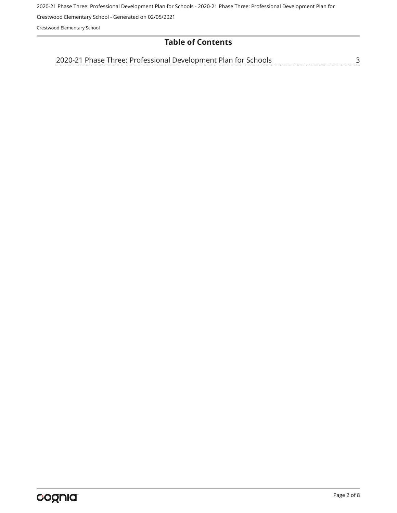2020-21 Phase Three: Professional Development Plan for Schools - 2020-21 Phase Three: Professional Development Plan for

Crestwood Elementary School - Generated on 02/05/2021

Crestwood Elementary School

## **Table of Contents**

[2020-21 Phase Three: Professional Development Plan for Schools](#page-2-0)[3](#page-2-0)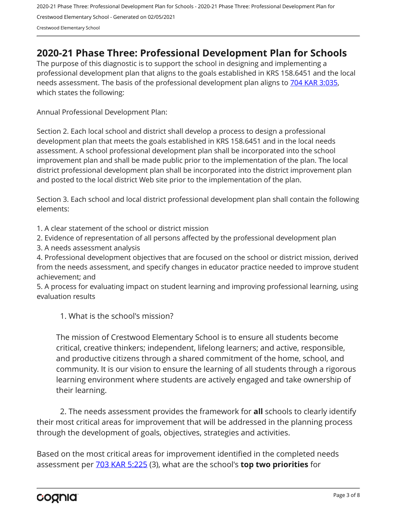## <span id="page-2-0"></span>**2020-21 Phase Three: Professional Development Plan for Schools**

The purpose of this diagnostic is to support the school in designing and implementing a professional development plan that aligns to the goals established in KRS 158.6451 and the local needs assessment. The basis of the professional development plan aligns to [704 KAR 3:035,](https://apps.legislature.ky.gov/Law/kar/704/003/035.pdf) which states the following:

Annual Professional Development Plan:

Section 2. Each local school and district shall develop a process to design a professional development plan that meets the goals established in KRS 158.6451 and in the local needs assessment. A school professional development plan shall be incorporated into the school improvement plan and shall be made public prior to the implementation of the plan. The local district professional development plan shall be incorporated into the district improvement plan and posted to the local district Web site prior to the implementation of the plan.

Section 3. Each school and local district professional development plan shall contain the following elements:

1. A clear statement of the school or district mission

2. Evidence of representation of all persons affected by the professional development plan

3. A needs assessment analysis

4. Professional development objectives that are focused on the school or district mission, derived from the needs assessment, and specify changes in educator practice needed to improve student achievement; and

5. A process for evaluating impact on student learning and improving professional learning, using evaluation results

1. What is the school's mission?

The mission of Crestwood Elementary School is to ensure all students become critical, creative thinkers; independent, lifelong learners; and active, responsible, and productive citizens through a shared commitment of the home, school, and community. It is our vision to ensure the learning of all students through a rigorous learning environment where students are actively engaged and take ownership of their learning.

2. The needs assessment provides the framework for **all** schools to clearly identify their most critical areas for improvement that will be addressed in the planning process through the development of goals, objectives, strategies and activities.

Based on the most critical areas for improvement identified in the completed needs assessment per [703 KAR 5:225](https://apps.legislature.ky.gov/law/kar/703/005/225.pdf) (3), what are the school's **top two priorities** for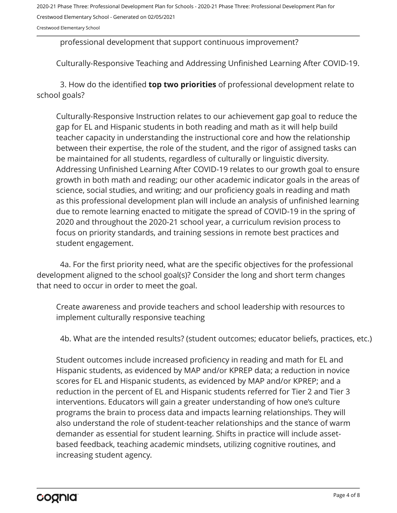Crestwood Elementary School

professional development that support continuous improvement?

Culturally-Responsive Teaching and Addressing Unfinished Learning After COVID-19.

3. How do the identified **top two priorities** of professional development relate to school goals?

Culturally-Responsive Instruction relates to our achievement gap goal to reduce the gap for EL and Hispanic students in both reading and math as it will help build teacher capacity in understanding the instructional core and how the relationship between their expertise, the role of the student, and the rigor of assigned tasks can be maintained for all students, regardless of culturally or linguistic diversity. Addressing Unfinished Learning After COVID-19 relates to our growth goal to ensure growth in both math and reading; our other academic indicator goals in the areas of science, social studies, and writing; and our proficiency goals in reading and math as this professional development plan will include an analysis of unfinished learning due to remote learning enacted to mitigate the spread of COVID-19 in the spring of 2020 and throughout the 2020-21 school year, a curriculum revision process to focus on priority standards, and training sessions in remote best practices and student engagement.

4a. For the first priority need, what are the specific objectives for the professional development aligned to the school goal(s)? Consider the long and short term changes that need to occur in order to meet the goal.

Create awareness and provide teachers and school leadership with resources to implement culturally responsive teaching

4b. What are the intended results? (student outcomes; educator beliefs, practices, etc.)

Student outcomes include increased proficiency in reading and math for EL and Hispanic students, as evidenced by MAP and/or KPREP data; a reduction in novice scores for EL and Hispanic students, as evidenced by MAP and/or KPREP; and a reduction in the percent of EL and Hispanic students referred for Tier 2 and Tier 3 interventions. Educators will gain a greater understanding of how one's culture programs the brain to process data and impacts learning relationships. They will also understand the role of student-teacher relationships and the stance of warm demander as essential for student learning. Shifts in practice will include assetbased feedback, teaching academic mindsets, utilizing cognitive routines, and increasing student agency.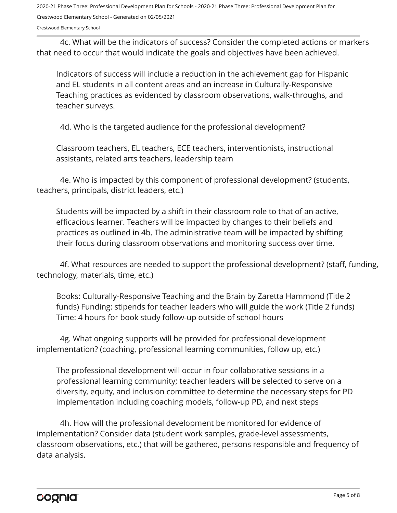Crestwood Elementary School

4c. What will be the indicators of success? Consider the completed actions or markers that need to occur that would indicate the goals and objectives have been achieved.

Indicators of success will include a reduction in the achievement gap for Hispanic and EL students in all content areas and an increase in Culturally-Responsive Teaching practices as evidenced by classroom observations, walk-throughs, and teacher surveys.

4d. Who is the targeted audience for the professional development?

Classroom teachers, EL teachers, ECE teachers, interventionists, instructional assistants, related arts teachers, leadership team

4e. Who is impacted by this component of professional development? (students, teachers, principals, district leaders, etc.)

Students will be impacted by a shift in their classroom role to that of an active, efficacious learner. Teachers will be impacted by changes to their beliefs and practices as outlined in 4b. The administrative team will be impacted by shifting their focus during classroom observations and monitoring success over time.

4f. What resources are needed to support the professional development? (staff, funding, technology, materials, time, etc.)

Books: Culturally-Responsive Teaching and the Brain by Zaretta Hammond (Title 2 funds) Funding: stipends for teacher leaders who will guide the work (Title 2 funds) Time: 4 hours for book study follow-up outside of school hours

4g. What ongoing supports will be provided for professional development implementation? (coaching, professional learning communities, follow up, etc.)

The professional development will occur in four collaborative sessions in a professional learning community; teacher leaders will be selected to serve on a diversity, equity, and inclusion committee to determine the necessary steps for PD implementation including coaching models, follow-up PD, and next steps

4h. How will the professional development be monitored for evidence of implementation? Consider data (student work samples, grade-level assessments, classroom observations, etc.) that will be gathered, persons responsible and frequency of data analysis.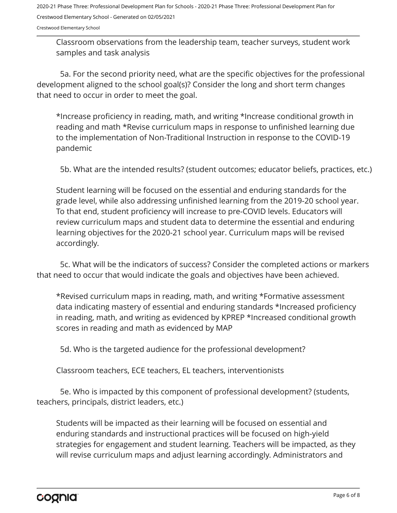Crestwood Elementary School

Classroom observations from the leadership team, teacher surveys, student work samples and task analysis

5a. For the second priority need, what are the specific objectives for the professional development aligned to the school goal(s)? Consider the long and short term changes that need to occur in order to meet the goal.

\*Increase proficiency in reading, math, and writing \*Increase conditional growth in reading and math \*Revise curriculum maps in response to unfinished learning due to the implementation of Non-Traditional Instruction in response to the COVID-19 pandemic

5b. What are the intended results? (student outcomes; educator beliefs, practices, etc.)

Student learning will be focused on the essential and enduring standards for the grade level, while also addressing unfinished learning from the 2019-20 school year. To that end, student proficiency will increase to pre-COVID levels. Educators will review curriculum maps and student data to determine the essential and enduring learning objectives for the 2020-21 school year. Curriculum maps will be revised accordingly.

5c. What will be the indicators of success? Consider the completed actions or markers that need to occur that would indicate the goals and objectives have been achieved.

\*Revised curriculum maps in reading, math, and writing \*Formative assessment data indicating mastery of essential and enduring standards \*Increased proficiency in reading, math, and writing as evidenced by KPREP \*Increased conditional growth scores in reading and math as evidenced by MAP

5d. Who is the targeted audience for the professional development?

Classroom teachers, ECE teachers, EL teachers, interventionists

5e. Who is impacted by this component of professional development? (students, teachers, principals, district leaders, etc.)

Students will be impacted as their learning will be focused on essential and enduring standards and instructional practices will be focused on high-yield strategies for engagement and student learning. Teachers will be impacted, as they will revise curriculum maps and adjust learning accordingly. Administrators and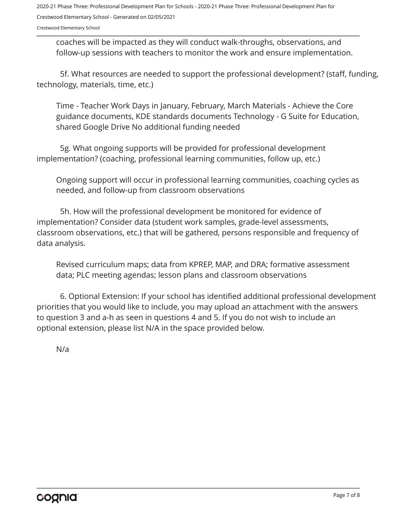Crestwood Elementary School

coaches will be impacted as they will conduct walk-throughs, observations, and follow-up sessions with teachers to monitor the work and ensure implementation.

5f. What resources are needed to support the professional development? (staff, funding, technology, materials, time, etc.)

Time - Teacher Work Days in January, February, March Materials - Achieve the Core guidance documents, KDE standards documents Technology - G Suite for Education, shared Google Drive No additional funding needed

5g. What ongoing supports will be provided for professional development implementation? (coaching, professional learning communities, follow up, etc.)

Ongoing support will occur in professional learning communities, coaching cycles as needed, and follow-up from classroom observations

5h. How will the professional development be monitored for evidence of implementation? Consider data (student work samples, grade-level assessments, classroom observations, etc.) that will be gathered, persons responsible and frequency of data analysis.

Revised curriculum maps; data from KPREP, MAP, and DRA; formative assessment data; PLC meeting agendas; lesson plans and classroom observations

6. Optional Extension: If your school has identified additional professional development priorities that you would like to include, you may upload an attachment with the answers to question 3 and a-h as seen in questions 4 and 5. If you do not wish to include an optional extension, please list N/A in the space provided below.

N/a